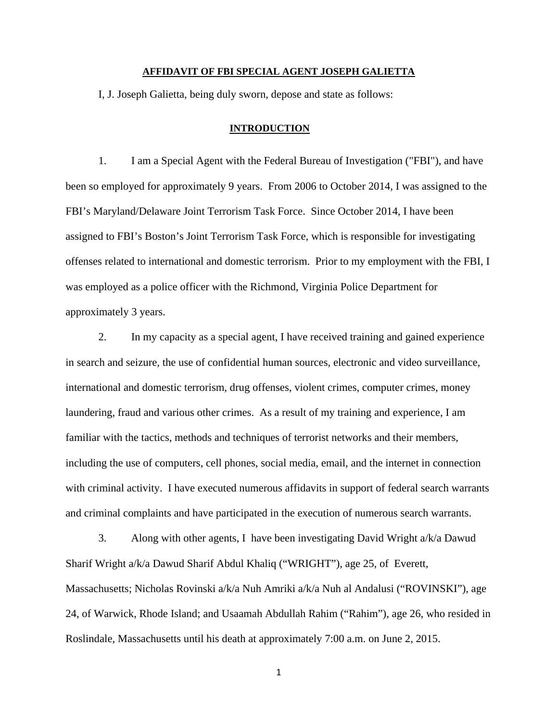### **AFFIDAVIT OF FBI SPECIAL AGENT JOSEPH GALIETTA**

I, J. Joseph Galietta, being duly sworn, depose and state as follows:

#### **INTRODUCTION**

1. I am a Special Agent with the Federal Bureau of Investigation ("FBI"), and have been so employed for approximately 9 years. From 2006 to October 2014, I was assigned to the FBI's Maryland/Delaware Joint Terrorism Task Force. Since October 2014, I have been assigned to FBI's Boston's Joint Terrorism Task Force, which is responsible for investigating offenses related to international and domestic terrorism. Prior to my employment with the FBI, I was employed as a police officer with the Richmond, Virginia Police Department for approximately 3 years.

2. In my capacity as a special agent, I have received training and gained experience in search and seizure, the use of confidential human sources, electronic and video surveillance, international and domestic terrorism, drug offenses, violent crimes, computer crimes, money laundering, fraud and various other crimes. As a result of my training and experience, I am familiar with the tactics, methods and techniques of terrorist networks and their members, including the use of computers, cell phones, social media, email, and the internet in connection with criminal activity. I have executed numerous affidavits in support of federal search warrants and criminal complaints and have participated in the execution of numerous search warrants.

3. Along with other agents, I have been investigating David Wright a/k/a Dawud Sharif Wright a/k/a Dawud Sharif Abdul Khaliq ("WRIGHT"), age 25, of Everett, Massachusetts; Nicholas Rovinski a/k/a Nuh Amriki a/k/a Nuh al Andalusi ("ROVINSKI"), age 24, of Warwick, Rhode Island; and Usaamah Abdullah Rahim ("Rahim"), age 26, who resided in Roslindale, Massachusetts until his death at approximately 7:00 a.m. on June 2, 2015.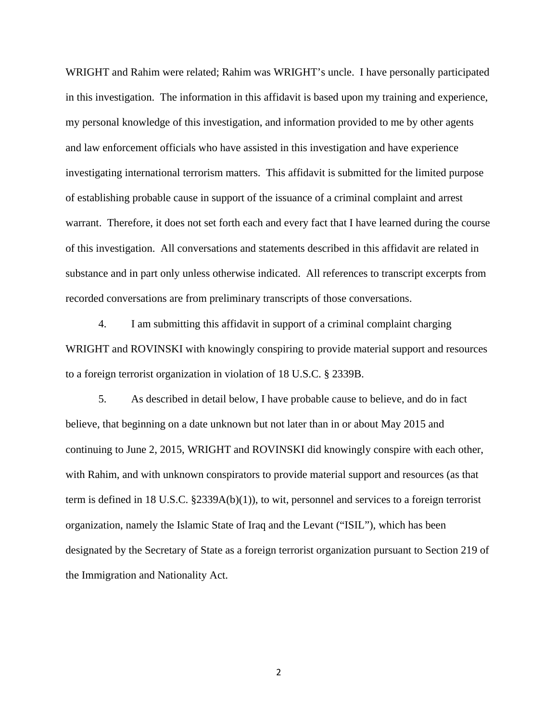WRIGHT and Rahim were related; Rahim was WRIGHT's uncle. I have personally participated in this investigation. The information in this affidavit is based upon my training and experience, my personal knowledge of this investigation, and information provided to me by other agents and law enforcement officials who have assisted in this investigation and have experience investigating international terrorism matters. This affidavit is submitted for the limited purpose of establishing probable cause in support of the issuance of a criminal complaint and arrest warrant. Therefore, it does not set forth each and every fact that I have learned during the course of this investigation. All conversations and statements described in this affidavit are related in substance and in part only unless otherwise indicated. All references to transcript excerpts from recorded conversations are from preliminary transcripts of those conversations.

4. I am submitting this affidavit in support of a criminal complaint charging WRIGHT and ROVINSKI with knowingly conspiring to provide material support and resources to a foreign terrorist organization in violation of 18 U.S.C. § 2339B.

5. As described in detail below, I have probable cause to believe, and do in fact believe, that beginning on a date unknown but not later than in or about May 2015 and continuing to June 2, 2015, WRIGHT and ROVINSKI did knowingly conspire with each other, with Rahim, and with unknown conspirators to provide material support and resources (as that term is defined in 18 U.S.C. §2339A(b)(1)), to wit, personnel and services to a foreign terrorist organization, namely the Islamic State of Iraq and the Levant ("ISIL"), which has been designated by the Secretary of State as a foreign terrorist organization pursuant to Section 219 of the Immigration and Nationality Act.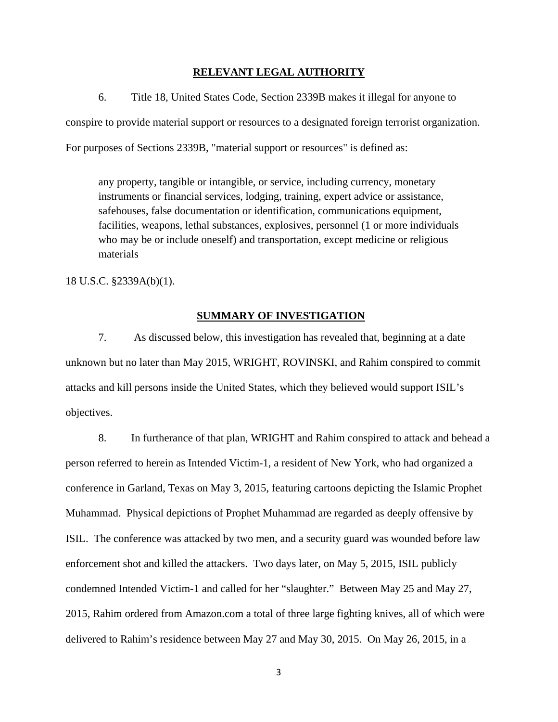## **RELEVANT LEGAL AUTHORITY**

6. Title 18, United States Code, Section 2339B makes it illegal for anyone to conspire to provide material support or resources to a designated foreign terrorist organization. For purposes of Sections 2339B, "material support or resources" is defined as:

any property, tangible or intangible, or service, including currency, monetary instruments or financial services, lodging, training, expert advice or assistance, safehouses, false documentation or identification, communications equipment, facilities, weapons, lethal substances, explosives, personnel (1 or more individuals who may be or include oneself) and transportation, except medicine or religious materials

18 U.S.C. §2339A(b)(1).

# **SUMMARY OF INVESTIGATION**

7. As discussed below, this investigation has revealed that, beginning at a date unknown but no later than May 2015, WRIGHT, ROVINSKI, and Rahim conspired to commit attacks and kill persons inside the United States, which they believed would support ISIL's objectives.

8. In furtherance of that plan, WRIGHT and Rahim conspired to attack and behead a person referred to herein as Intended Victim-1, a resident of New York, who had organized a conference in Garland, Texas on May 3, 2015, featuring cartoons depicting the Islamic Prophet Muhammad. Physical depictions of Prophet Muhammad are regarded as deeply offensive by ISIL. The conference was attacked by two men, and a security guard was wounded before law enforcement shot and killed the attackers. Two days later, on May 5, 2015, ISIL publicly condemned Intended Victim-1 and called for her "slaughter." Between May 25 and May 27, 2015, Rahim ordered from Amazon.com a total of three large fighting knives, all of which were delivered to Rahim's residence between May 27 and May 30, 2015. On May 26, 2015, in a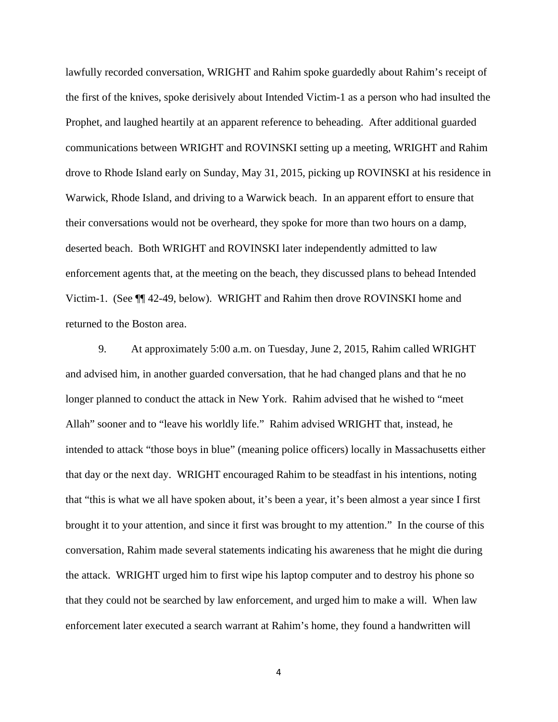lawfully recorded conversation, WRIGHT and Rahim spoke guardedly about Rahim's receipt of the first of the knives, spoke derisively about Intended Victim-1 as a person who had insulted the Prophet, and laughed heartily at an apparent reference to beheading. After additional guarded communications between WRIGHT and ROVINSKI setting up a meeting, WRIGHT and Rahim drove to Rhode Island early on Sunday, May 31, 2015, picking up ROVINSKI at his residence in Warwick, Rhode Island, and driving to a Warwick beach. In an apparent effort to ensure that their conversations would not be overheard, they spoke for more than two hours on a damp, deserted beach. Both WRIGHT and ROVINSKI later independently admitted to law enforcement agents that, at the meeting on the beach, they discussed plans to behead Intended Victim-1. (See ¶¶ 42-49, below). WRIGHT and Rahim then drove ROVINSKI home and returned to the Boston area.

 9. At approximately 5:00 a.m. on Tuesday, June 2, 2015, Rahim called WRIGHT and advised him, in another guarded conversation, that he had changed plans and that he no longer planned to conduct the attack in New York. Rahim advised that he wished to "meet Allah" sooner and to "leave his worldly life." Rahim advised WRIGHT that, instead, he intended to attack "those boys in blue" (meaning police officers) locally in Massachusetts either that day or the next day. WRIGHT encouraged Rahim to be steadfast in his intentions, noting that "this is what we all have spoken about, it's been a year, it's been almost a year since I first brought it to your attention, and since it first was brought to my attention." In the course of this conversation, Rahim made several statements indicating his awareness that he might die during the attack. WRIGHT urged him to first wipe his laptop computer and to destroy his phone so that they could not be searched by law enforcement, and urged him to make a will. When law enforcement later executed a search warrant at Rahim's home, they found a handwritten will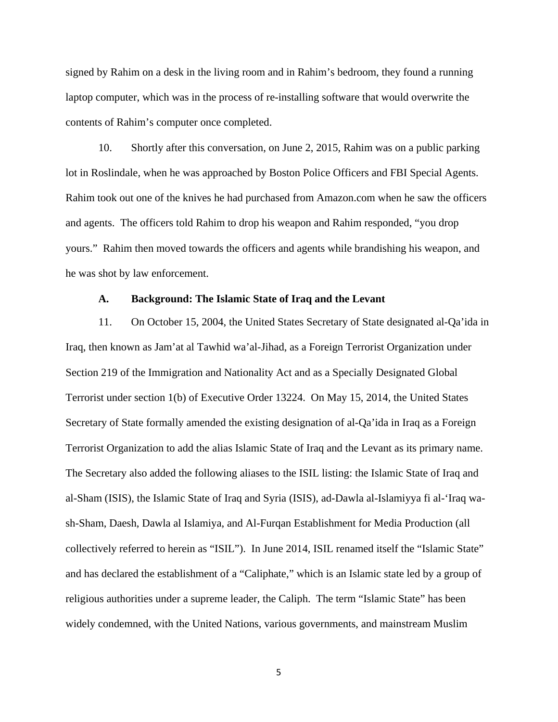signed by Rahim on a desk in the living room and in Rahim's bedroom, they found a running laptop computer, which was in the process of re-installing software that would overwrite the contents of Rahim's computer once completed.

 10. Shortly after this conversation, on June 2, 2015, Rahim was on a public parking lot in Roslindale, when he was approached by Boston Police Officers and FBI Special Agents. Rahim took out one of the knives he had purchased from Amazon.com when he saw the officers and agents. The officers told Rahim to drop his weapon and Rahim responded, "you drop yours." Rahim then moved towards the officers and agents while brandishing his weapon, and he was shot by law enforcement.

## **A. Background: The Islamic State of Iraq and the Levant**

 11. On October 15, 2004, the United States Secretary of State designated al-Qa'ida in Iraq, then known as Jam'at al Tawhid wa'al-Jihad, as a Foreign Terrorist Organization under Section 219 of the Immigration and Nationality Act and as a Specially Designated Global Terrorist under section 1(b) of Executive Order 13224. On May 15, 2014, the United States Secretary of State formally amended the existing designation of al-Qa'ida in Iraq as a Foreign Terrorist Organization to add the alias Islamic State of Iraq and the Levant as its primary name. The Secretary also added the following aliases to the ISIL listing: the Islamic State of Iraq and al-Sham (ISIS), the Islamic State of Iraq and Syria (ISIS), ad-Dawla al-Islamiyya fi al-'Iraq wash-Sham, Daesh, Dawla al Islamiya, and Al-Furqan Establishment for Media Production (all collectively referred to herein as "ISIL"). In June 2014, ISIL renamed itself the "Islamic State" and has declared the establishment of a "Caliphate," which is an Islamic state led by a group of religious authorities under a supreme leader, the Caliph. The term "Islamic State" has been widely condemned, with the United Nations, various governments, and mainstream Muslim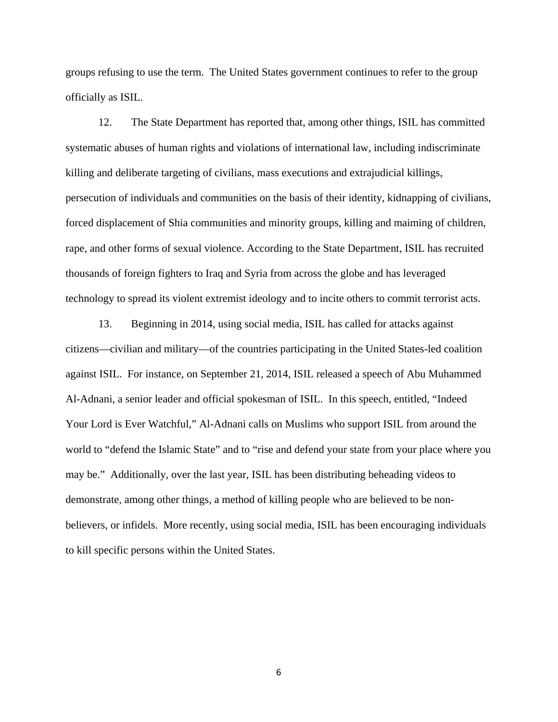groups refusing to use the term. The United States government continues to refer to the group officially as ISIL.

 12. The State Department has reported that, among other things, ISIL has committed systematic abuses of human rights and violations of international law, including indiscriminate killing and deliberate targeting of civilians, mass executions and extrajudicial killings, persecution of individuals and communities on the basis of their identity, kidnapping of civilians, forced displacement of Shia communities and minority groups, killing and maiming of children, rape, and other forms of sexual violence. According to the State Department, ISIL has recruited thousands of foreign fighters to Iraq and Syria from across the globe and has leveraged technology to spread its violent extremist ideology and to incite others to commit terrorist acts.

 13. Beginning in 2014, using social media, ISIL has called for attacks against citizens—civilian and military—of the countries participating in the United States-led coalition against ISIL. For instance, on September 21, 2014, ISIL released a speech of Abu Muhammed Al-Adnani, a senior leader and official spokesman of ISIL. In this speech, entitled, "Indeed Your Lord is Ever Watchful," Al-Adnani calls on Muslims who support ISIL from around the world to "defend the Islamic State" and to "rise and defend your state from your place where you may be." Additionally, over the last year, ISIL has been distributing beheading videos to demonstrate, among other things, a method of killing people who are believed to be nonbelievers, or infidels. More recently, using social media, ISIL has been encouraging individuals to kill specific persons within the United States.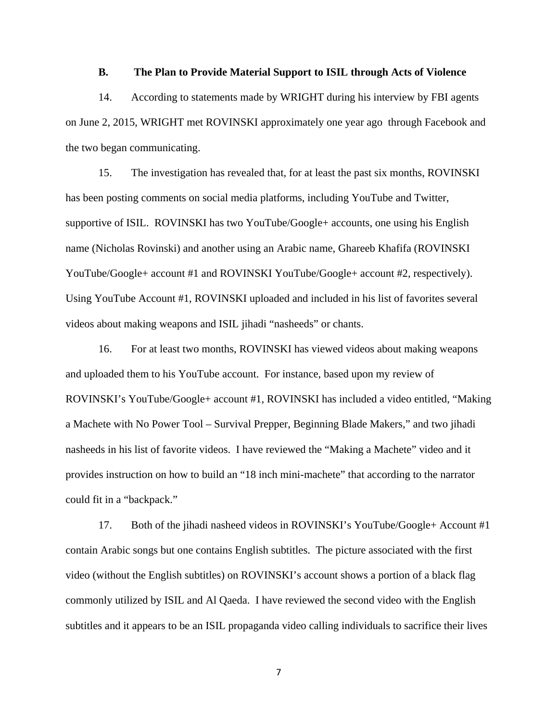## **B. The Plan to Provide Material Support to ISIL through Acts of Violence**

14. According to statements made by WRIGHT during his interview by FBI agents on June 2, 2015, WRIGHT met ROVINSKI approximately one year ago through Facebook and the two began communicating.

15. The investigation has revealed that, for at least the past six months, ROVINSKI has been posting comments on social media platforms, including YouTube and Twitter, supportive of ISIL. ROVINSKI has two YouTube/Google+ accounts, one using his English name (Nicholas Rovinski) and another using an Arabic name, Ghareeb Khafifa (ROVINSKI YouTube/Google+ account #1 and ROVINSKI YouTube/Google+ account #2, respectively). Using YouTube Account #1, ROVINSKI uploaded and included in his list of favorites several videos about making weapons and ISIL jihadi "nasheeds" or chants.

16. For at least two months, ROVINSKI has viewed videos about making weapons and uploaded them to his YouTube account. For instance, based upon my review of ROVINSKI's YouTube/Google+ account #1, ROVINSKI has included a video entitled, "Making a Machete with No Power Tool – Survival Prepper, Beginning Blade Makers," and two jihadi nasheeds in his list of favorite videos. I have reviewed the "Making a Machete" video and it provides instruction on how to build an "18 inch mini-machete" that according to the narrator could fit in a "backpack."

17. Both of the jihadi nasheed videos in ROVINSKI's YouTube/Google+ Account #1 contain Arabic songs but one contains English subtitles. The picture associated with the first video (without the English subtitles) on ROVINSKI's account shows a portion of a black flag commonly utilized by ISIL and Al Qaeda. I have reviewed the second video with the English subtitles and it appears to be an ISIL propaganda video calling individuals to sacrifice their lives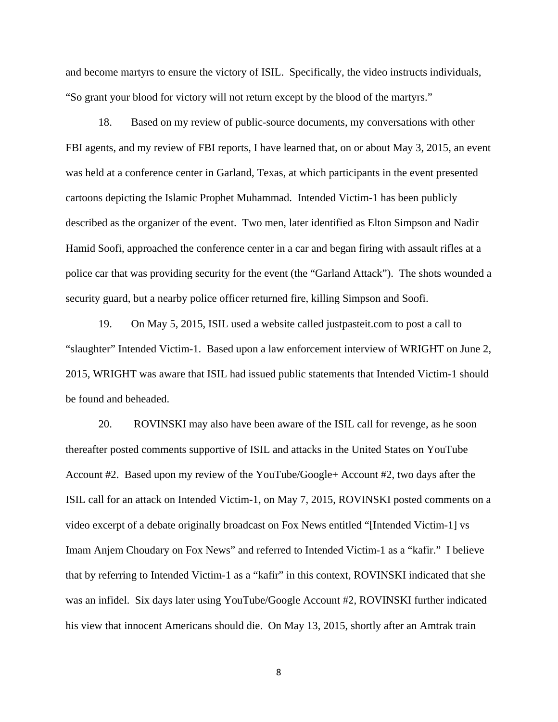and become martyrs to ensure the victory of ISIL. Specifically, the video instructs individuals, "So grant your blood for victory will not return except by the blood of the martyrs."

18. Based on my review of public-source documents, my conversations with other FBI agents, and my review of FBI reports, I have learned that, on or about May 3, 2015, an event was held at a conference center in Garland, Texas, at which participants in the event presented cartoons depicting the Islamic Prophet Muhammad. Intended Victim-1 has been publicly described as the organizer of the event. Two men, later identified as Elton Simpson and Nadir Hamid Soofi, approached the conference center in a car and began firing with assault rifles at a police car that was providing security for the event (the "Garland Attack"). The shots wounded a security guard, but a nearby police officer returned fire, killing Simpson and Soofi.

19. On May 5, 2015, ISIL used a website called justpasteit.com to post a call to "slaughter" Intended Victim-1. Based upon a law enforcement interview of WRIGHT on June 2, 2015, WRIGHT was aware that ISIL had issued public statements that Intended Victim-1 should be found and beheaded.

20. ROVINSKI may also have been aware of the ISIL call for revenge, as he soon thereafter posted comments supportive of ISIL and attacks in the United States on YouTube Account #2. Based upon my review of the YouTube/Google+ Account #2, two days after the ISIL call for an attack on Intended Victim-1, on May 7, 2015, ROVINSKI posted comments on a video excerpt of a debate originally broadcast on Fox News entitled "[Intended Victim-1] vs Imam Anjem Choudary on Fox News" and referred to Intended Victim-1 as a "kafir." I believe that by referring to Intended Victim-1 as a "kafir" in this context, ROVINSKI indicated that she was an infidel. Six days later using YouTube/Google Account #2, ROVINSKI further indicated his view that innocent Americans should die. On May 13, 2015, shortly after an Amtrak train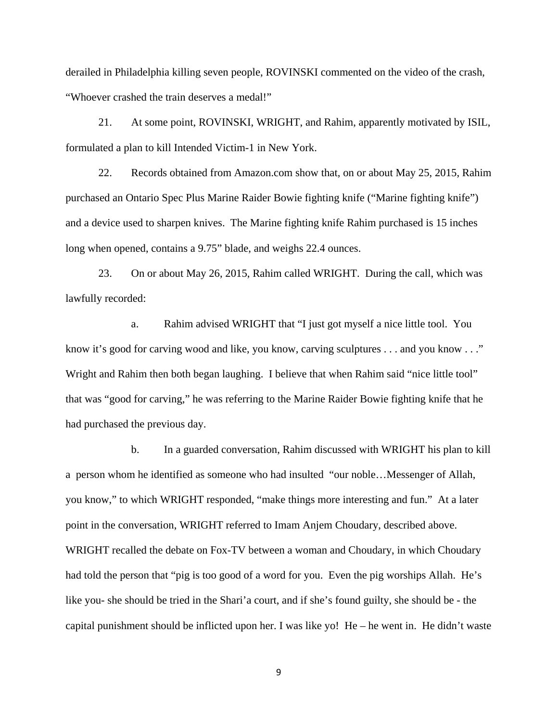derailed in Philadelphia killing seven people, ROVINSKI commented on the video of the crash, "Whoever crashed the train deserves a medal!"

 21. At some point, ROVINSKI, WRIGHT, and Rahim, apparently motivated by ISIL, formulated a plan to kill Intended Victim-1 in New York.

22. Records obtained from Amazon.com show that, on or about May 25, 2015, Rahim purchased an Ontario Spec Plus Marine Raider Bowie fighting knife ("Marine fighting knife") and a device used to sharpen knives. The Marine fighting knife Rahim purchased is 15 inches long when opened, contains a 9.75" blade, and weighs 22.4 ounces.

23. On or about May 26, 2015, Rahim called WRIGHT. During the call, which was lawfully recorded:

a. Rahim advised WRIGHT that "I just got myself a nice little tool. You know it's good for carving wood and like, you know, carving sculptures . . . and you know . . ." Wright and Rahim then both began laughing. I believe that when Rahim said "nice little tool" that was "good for carving," he was referring to the Marine Raider Bowie fighting knife that he had purchased the previous day.

 b. In a guarded conversation, Rahim discussed with WRIGHT his plan to kill a person whom he identified as someone who had insulted "our noble…Messenger of Allah, you know," to which WRIGHT responded, "make things more interesting and fun." At a later point in the conversation, WRIGHT referred to Imam Anjem Choudary, described above. WRIGHT recalled the debate on Fox-TV between a woman and Choudary, in which Choudary had told the person that "pig is too good of a word for you. Even the pig worships Allah. He's like you- she should be tried in the Shari'a court, and if she's found guilty, she should be - the capital punishment should be inflicted upon her. I was like yo! He – he went in. He didn't waste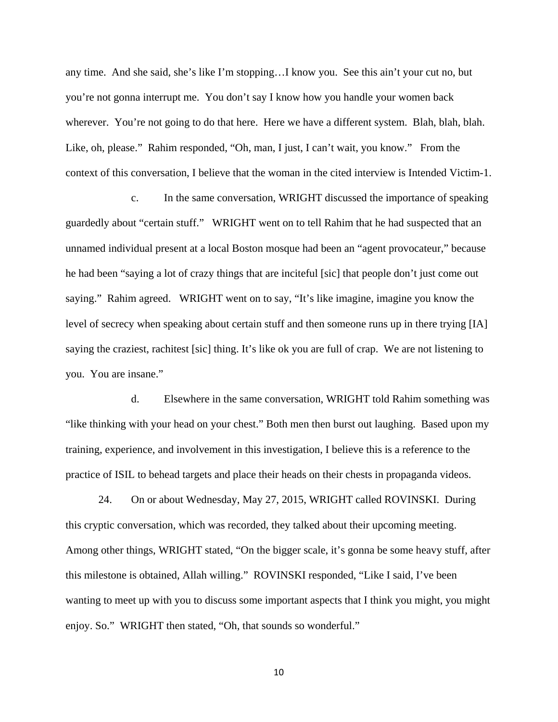any time. And she said, she's like I'm stopping…I know you. See this ain't your cut no, but you're not gonna interrupt me. You don't say I know how you handle your women back wherever. You're not going to do that here. Here we have a different system. Blah, blah, blah. Like, oh, please." Rahim responded, "Oh, man, I just, I can't wait, you know." From the context of this conversation, I believe that the woman in the cited interview is Intended Victim-1.

c. In the same conversation, WRIGHT discussed the importance of speaking guardedly about "certain stuff." WRIGHT went on to tell Rahim that he had suspected that an unnamed individual present at a local Boston mosque had been an "agent provocateur," because he had been "saying a lot of crazy things that are inciteful [sic] that people don't just come out saying." Rahim agreed. WRIGHT went on to say, "It's like imagine, imagine you know the level of secrecy when speaking about certain stuff and then someone runs up in there trying [IA] saying the craziest, rachitest [sic] thing. It's like ok you are full of crap. We are not listening to you. You are insane."

 d. Elsewhere in the same conversation, WRIGHT told Rahim something was "like thinking with your head on your chest." Both men then burst out laughing. Based upon my training, experience, and involvement in this investigation, I believe this is a reference to the practice of ISIL to behead targets and place their heads on their chests in propaganda videos.

 24. On or about Wednesday, May 27, 2015, WRIGHT called ROVINSKI. During this cryptic conversation, which was recorded, they talked about their upcoming meeting. Among other things, WRIGHT stated, "On the bigger scale, it's gonna be some heavy stuff, after this milestone is obtained, Allah willing." ROVINSKI responded, "Like I said, I've been wanting to meet up with you to discuss some important aspects that I think you might, you might enjoy. So." WRIGHT then stated, "Oh, that sounds so wonderful."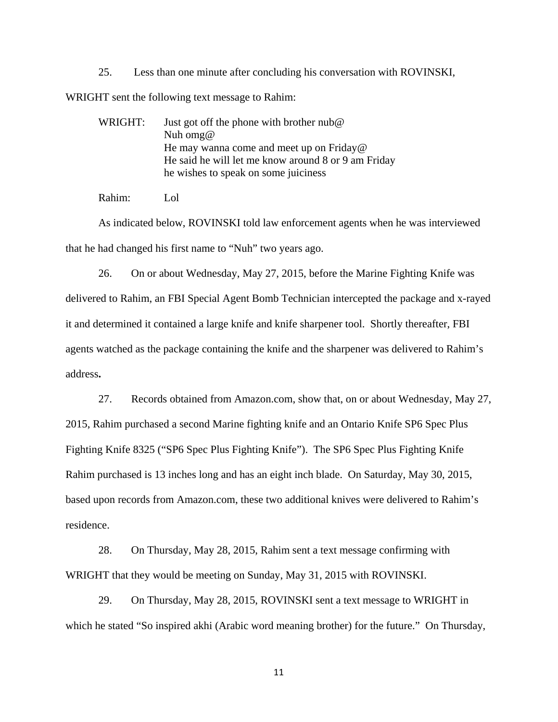25. Less than one minute after concluding his conversation with ROVINSKI,

WRIGHT sent the following text message to Rahim:

WRIGHT: Just got off the phone with brother nub@ Nuh omg@ He may wanna come and meet up on Friday@ He said he will let me know around 8 or 9 am Friday he wishes to speak on some juiciness

Rahim: Lol

As indicated below, ROVINSKI told law enforcement agents when he was interviewed that he had changed his first name to "Nuh" two years ago.

26. On or about Wednesday, May 27, 2015, before the Marine Fighting Knife was delivered to Rahim, an FBI Special Agent Bomb Technician intercepted the package and x-rayed it and determined it contained a large knife and knife sharpener tool. Shortly thereafter, FBI agents watched as the package containing the knife and the sharpener was delivered to Rahim's address**.**

 27. Records obtained from Amazon.com, show that, on or about Wednesday, May 27, 2015, Rahim purchased a second Marine fighting knife and an Ontario Knife SP6 Spec Plus Fighting Knife 8325 ("SP6 Spec Plus Fighting Knife"). The SP6 Spec Plus Fighting Knife Rahim purchased is 13 inches long and has an eight inch blade. On Saturday, May 30, 2015, based upon records from Amazon.com, these two additional knives were delivered to Rahim's residence.

 28. On Thursday, May 28, 2015, Rahim sent a text message confirming with WRIGHT that they would be meeting on Sunday, May 31, 2015 with ROVINSKI.

 29. On Thursday, May 28, 2015, ROVINSKI sent a text message to WRIGHT in which he stated "So inspired akhi (Arabic word meaning brother) for the future." On Thursday,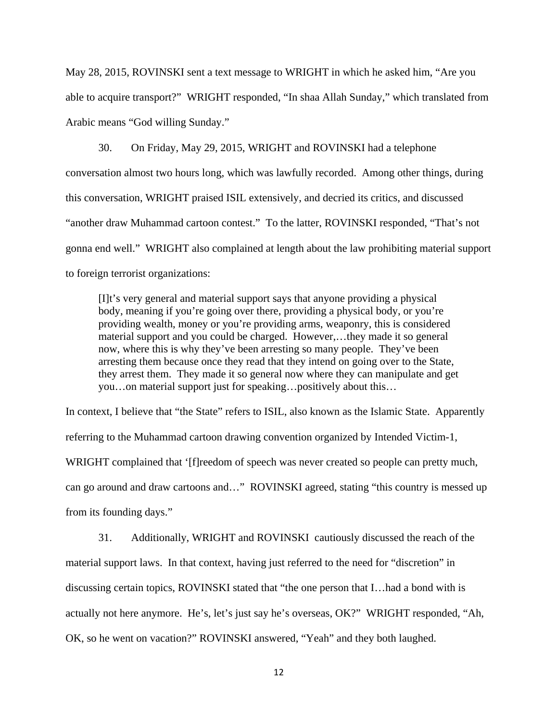May 28, 2015, ROVINSKI sent a text message to WRIGHT in which he asked him, "Are you able to acquire transport?" WRIGHT responded, "In shaa Allah Sunday," which translated from Arabic means "God willing Sunday."

 30. On Friday, May 29, 2015, WRIGHT and ROVINSKI had a telephone conversation almost two hours long, which was lawfully recorded. Among other things, during this conversation, WRIGHT praised ISIL extensively, and decried its critics, and discussed "another draw Muhammad cartoon contest." To the latter, ROVINSKI responded, "That's not gonna end well." WRIGHT also complained at length about the law prohibiting material support to foreign terrorist organizations:

[I]t's very general and material support says that anyone providing a physical body, meaning if you're going over there, providing a physical body, or you're providing wealth, money or you're providing arms, weaponry, this is considered material support and you could be charged. However,…they made it so general now, where this is why they've been arresting so many people. They've been arresting them because once they read that they intend on going over to the State, they arrest them. They made it so general now where they can manipulate and get you…on material support just for speaking…positively about this…

In context, I believe that "the State" refers to ISIL, also known as the Islamic State. Apparently referring to the Muhammad cartoon drawing convention organized by Intended Victim-1, WRIGHT complained that '[f]reedom of speech was never created so people can pretty much, can go around and draw cartoons and…" ROVINSKI agreed, stating "this country is messed up from its founding days."

31. Additionally, WRIGHT and ROVINSKI cautiously discussed the reach of the material support laws. In that context, having just referred to the need for "discretion" in discussing certain topics, ROVINSKI stated that "the one person that I…had a bond with is actually not here anymore. He's, let's just say he's overseas, OK?" WRIGHT responded, "Ah, OK, so he went on vacation?" ROVINSKI answered, "Yeah" and they both laughed.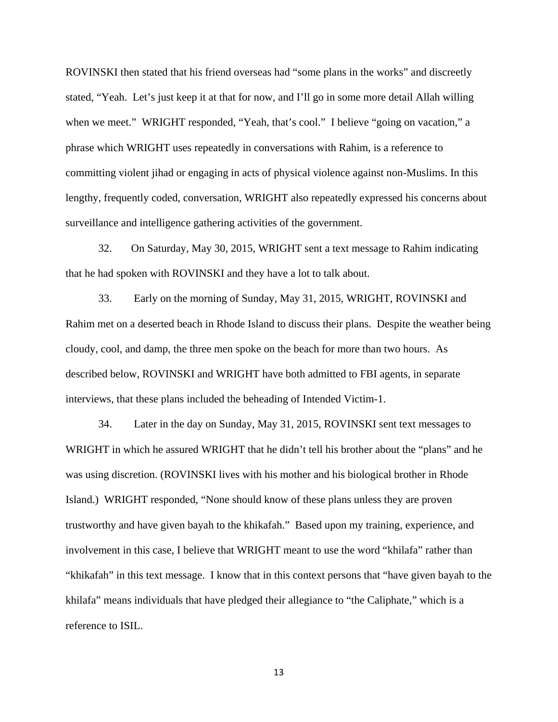ROVINSKI then stated that his friend overseas had "some plans in the works" and discreetly stated, "Yeah. Let's just keep it at that for now, and I'll go in some more detail Allah willing when we meet." WRIGHT responded, "Yeah, that's cool." I believe "going on vacation," a phrase which WRIGHT uses repeatedly in conversations with Rahim, is a reference to committing violent jihad or engaging in acts of physical violence against non-Muslims. In this lengthy, frequently coded, conversation, WRIGHT also repeatedly expressed his concerns about surveillance and intelligence gathering activities of the government.

32. On Saturday, May 30, 2015, WRIGHT sent a text message to Rahim indicating that he had spoken with ROVINSKI and they have a lot to talk about.

33. Early on the morning of Sunday, May 31, 2015, WRIGHT, ROVINSKI and Rahim met on a deserted beach in Rhode Island to discuss their plans. Despite the weather being cloudy, cool, and damp, the three men spoke on the beach for more than two hours. As described below, ROVINSKI and WRIGHT have both admitted to FBI agents, in separate interviews, that these plans included the beheading of Intended Victim-1.

34. Later in the day on Sunday, May 31, 2015, ROVINSKI sent text messages to WRIGHT in which he assured WRIGHT that he didn't tell his brother about the "plans" and he was using discretion. (ROVINSKI lives with his mother and his biological brother in Rhode Island.) WRIGHT responded, "None should know of these plans unless they are proven trustworthy and have given bayah to the khikafah." Based upon my training, experience, and involvement in this case, I believe that WRIGHT meant to use the word "khilafa" rather than "khikafah" in this text message. I know that in this context persons that "have given bayah to the khilafa" means individuals that have pledged their allegiance to "the Caliphate," which is a reference to ISIL.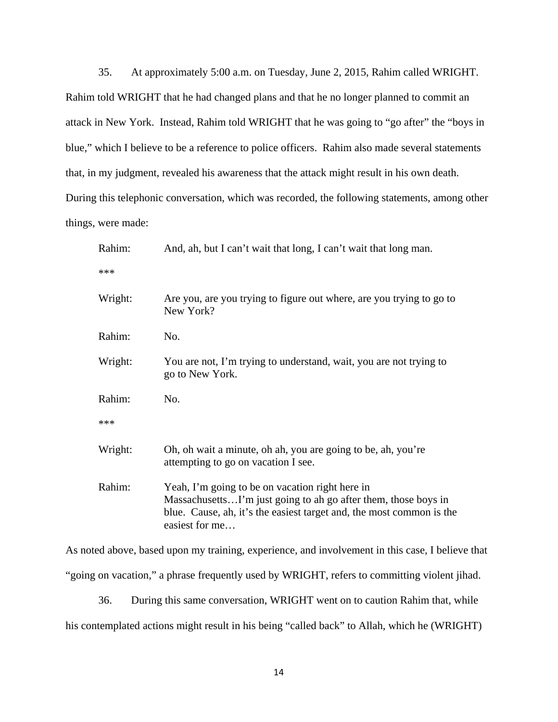35. At approximately 5:00 a.m. on Tuesday, June 2, 2015, Rahim called WRIGHT. Rahim told WRIGHT that he had changed plans and that he no longer planned to commit an attack in New York. Instead, Rahim told WRIGHT that he was going to "go after" the "boys in blue," which I believe to be a reference to police officers. Rahim also made several statements that, in my judgment, revealed his awareness that the attack might result in his own death. During this telephonic conversation, which was recorded, the following statements, among other things, were made:

| Rahim:  | And, ah, but I can't wait that long, I can't wait that long man.                                                                                                                                            |
|---------|-------------------------------------------------------------------------------------------------------------------------------------------------------------------------------------------------------------|
| ***     |                                                                                                                                                                                                             |
| Wright: | Are you, are you trying to figure out where, are you trying to go to<br>New York?                                                                                                                           |
| Rahim:  | No.                                                                                                                                                                                                         |
| Wright: | You are not, I'm trying to understand, wait, you are not trying to<br>go to New York.                                                                                                                       |
| Rahim:  | No.                                                                                                                                                                                                         |
| ***     |                                                                                                                                                                                                             |
| Wright: | Oh, oh wait a minute, oh ah, you are going to be, ah, you're<br>attempting to go on vacation I see.                                                                                                         |
| Rahim:  | Yeah, I'm going to be on vacation right here in<br>MassachusettsI'm just going to ah go after them, those boys in<br>blue. Cause, ah, it's the easiest target and, the most common is the<br>easiest for me |

As noted above, based upon my training, experience, and involvement in this case, I believe that "going on vacation," a phrase frequently used by WRIGHT, refers to committing violent jihad.

 36. During this same conversation, WRIGHT went on to caution Rahim that, while his contemplated actions might result in his being "called back" to Allah, which he (WRIGHT)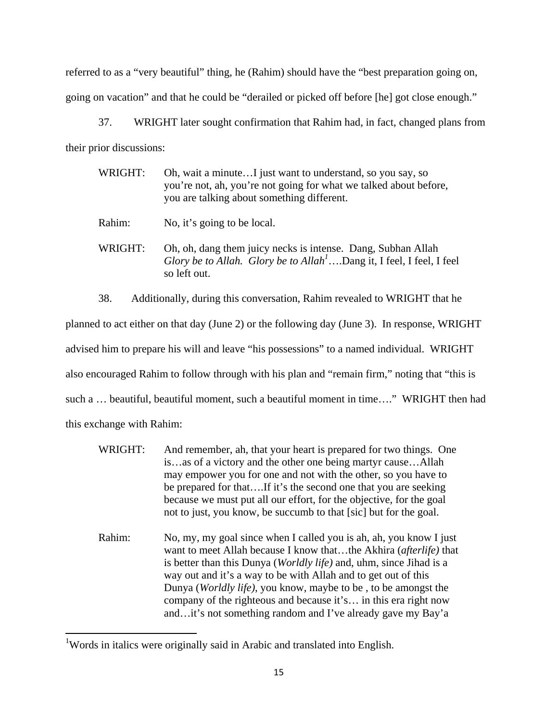referred to as a "very beautiful" thing, he (Rahim) should have the "best preparation going on, going on vacation" and that he could be "derailed or picked off before [he] got close enough."

37. WRIGHT later sought confirmation that Rahim had, in fact, changed plans from their prior discussions:

| WRIGHT: | Oh, wait a minuteI just want to understand, so you say, so<br>you're not, ah, you're not going for what we talked about before,<br>you are talking about something different. |
|---------|-------------------------------------------------------------------------------------------------------------------------------------------------------------------------------|
| Rahim:  | No, it's going to be local.                                                                                                                                                   |
| WRIGHT: | Oh, oh, dang them juicy necks is intense. Dang, Subhan Allah<br>Glory be to Allah. Glory be to Allah <sup>1</sup> Dang it, I feel, I feel, I feel<br>so left out.             |

 38. Additionally, during this conversation, Rahim revealed to WRIGHT that he planned to act either on that day (June 2) or the following day (June 3). In response, WRIGHT advised him to prepare his will and leave "his possessions" to a named individual. WRIGHT also encouraged Rahim to follow through with his plan and "remain firm," noting that "this is such a … beautiful, beautiful moment, such a beautiful moment in time…." WRIGHT then had this exchange with Rahim:

- WRIGHT: And remember, ah, that your heart is prepared for two things. One is…as of a victory and the other one being martyr cause…Allah may empower you for one and not with the other, so you have to be prepared for that….If it's the second one that you are seeking because we must put all our effort, for the objective, for the goal not to just, you know, be succumb to that [sic] but for the goal.
- Rahim: No, my, my goal since when I called you is ah, ah, you know I just want to meet Allah because I know that…the Akhira (*afterlife)* that is better than this Dunya (*Worldly life)* and, uhm, since Jihad is a way out and it's a way to be with Allah and to get out of this Dunya (*Worldly life)*, you know, maybe to be , to be amongst the company of the righteous and because it's… in this era right now and…it's not something random and I've already gave my Bay'a

<sup>&</sup>lt;sup>1</sup>Words in italics were originally said in Arabic and translated into English.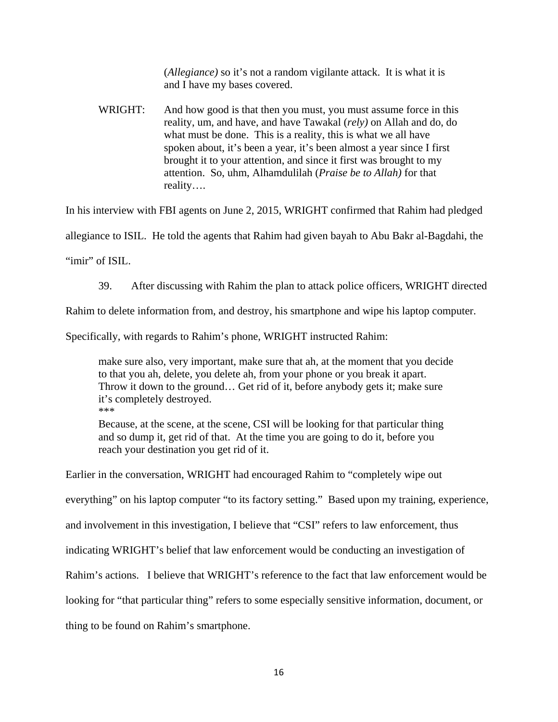(*Allegiance)* so it's not a random vigilante attack. It is what it is and I have my bases covered.

WRIGHT: And how good is that then you must, you must assume force in this reality, um, and have, and have Tawakal (*rely)* on Allah and do, do what must be done. This is a reality, this is what we all have spoken about, it's been a year, it's been almost a year since I first brought it to your attention, and since it first was brought to my attention. So, uhm, Alhamdulilah (*Praise be to Allah)* for that reality….

In his interview with FBI agents on June 2, 2015, WRIGHT confirmed that Rahim had pledged

allegiance to ISIL. He told the agents that Rahim had given bayah to Abu Bakr al-Bagdahi, the

"imir" of ISIL.

39. After discussing with Rahim the plan to attack police officers, WRIGHT directed

Rahim to delete information from, and destroy, his smartphone and wipe his laptop computer.

Specifically, with regards to Rahim's phone, WRIGHT instructed Rahim:

make sure also, very important, make sure that ah, at the moment that you decide to that you ah, delete, you delete ah, from your phone or you break it apart. Throw it down to the ground… Get rid of it, before anybody gets it; make sure it's completely destroyed.

\*\*\*

Because, at the scene, at the scene, CSI will be looking for that particular thing and so dump it, get rid of that. At the time you are going to do it, before you reach your destination you get rid of it.

Earlier in the conversation, WRIGHT had encouraged Rahim to "completely wipe out

everything" on his laptop computer "to its factory setting." Based upon my training, experience,

and involvement in this investigation, I believe that "CSI" refers to law enforcement, thus

indicating WRIGHT's belief that law enforcement would be conducting an investigation of

Rahim's actions. I believe that WRIGHT's reference to the fact that law enforcement would be

looking for "that particular thing" refers to some especially sensitive information, document, or

thing to be found on Rahim's smartphone.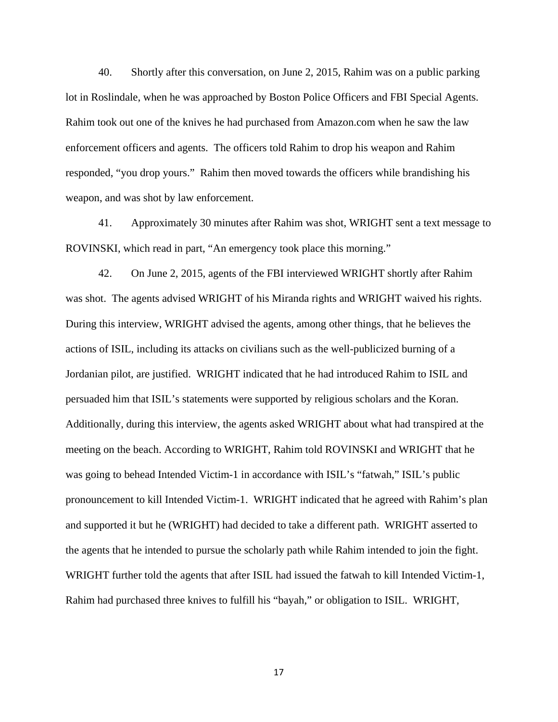40. Shortly after this conversation, on June 2, 2015, Rahim was on a public parking lot in Roslindale, when he was approached by Boston Police Officers and FBI Special Agents. Rahim took out one of the knives he had purchased from Amazon.com when he saw the law enforcement officers and agents. The officers told Rahim to drop his weapon and Rahim responded, "you drop yours." Rahim then moved towards the officers while brandishing his weapon, and was shot by law enforcement.

41. Approximately 30 minutes after Rahim was shot, WRIGHT sent a text message to ROVINSKI, which read in part, "An emergency took place this morning."

 42. On June 2, 2015, agents of the FBI interviewed WRIGHT shortly after Rahim was shot. The agents advised WRIGHT of his Miranda rights and WRIGHT waived his rights. During this interview, WRIGHT advised the agents, among other things, that he believes the actions of ISIL, including its attacks on civilians such as the well-publicized burning of a Jordanian pilot, are justified. WRIGHT indicated that he had introduced Rahim to ISIL and persuaded him that ISIL's statements were supported by religious scholars and the Koran. Additionally, during this interview, the agents asked WRIGHT about what had transpired at the meeting on the beach. According to WRIGHT, Rahim told ROVINSKI and WRIGHT that he was going to behead Intended Victim-1 in accordance with ISIL's "fatwah," ISIL's public pronouncement to kill Intended Victim-1. WRIGHT indicated that he agreed with Rahim's plan and supported it but he (WRIGHT) had decided to take a different path. WRIGHT asserted to the agents that he intended to pursue the scholarly path while Rahim intended to join the fight. WRIGHT further told the agents that after ISIL had issued the fatwah to kill Intended Victim-1, Rahim had purchased three knives to fulfill his "bayah," or obligation to ISIL. WRIGHT,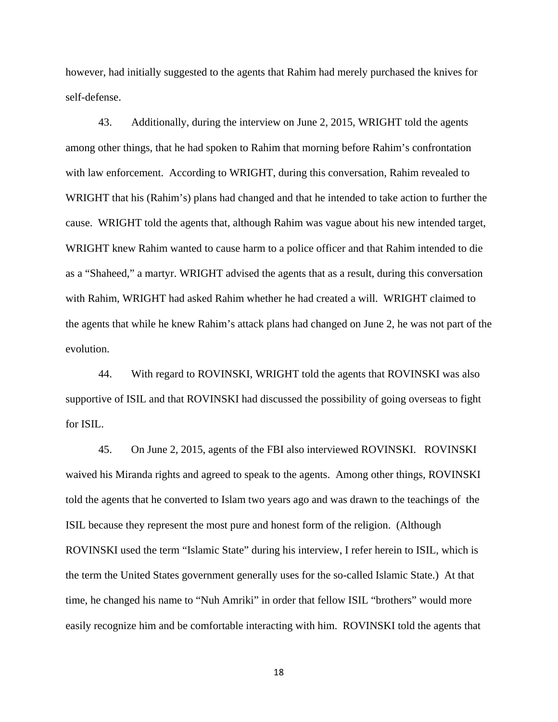however, had initially suggested to the agents that Rahim had merely purchased the knives for self-defense.

43. Additionally, during the interview on June 2, 2015, WRIGHT told the agents among other things, that he had spoken to Rahim that morning before Rahim's confrontation with law enforcement. According to WRIGHT, during this conversation, Rahim revealed to WRIGHT that his (Rahim's) plans had changed and that he intended to take action to further the cause. WRIGHT told the agents that, although Rahim was vague about his new intended target, WRIGHT knew Rahim wanted to cause harm to a police officer and that Rahim intended to die as a "Shaheed," a martyr. WRIGHT advised the agents that as a result, during this conversation with Rahim, WRIGHT had asked Rahim whether he had created a will. WRIGHT claimed to the agents that while he knew Rahim's attack plans had changed on June 2, he was not part of the evolution.

44. With regard to ROVINSKI, WRIGHT told the agents that ROVINSKI was also supportive of ISIL and that ROVINSKI had discussed the possibility of going overseas to fight for ISIL.

45. On June 2, 2015, agents of the FBI also interviewed ROVINSKI. ROVINSKI waived his Miranda rights and agreed to speak to the agents. Among other things, ROVINSKI told the agents that he converted to Islam two years ago and was drawn to the teachings of the ISIL because they represent the most pure and honest form of the religion. (Although ROVINSKI used the term "Islamic State" during his interview, I refer herein to ISIL, which is the term the United States government generally uses for the so-called Islamic State.) At that time, he changed his name to "Nuh Amriki" in order that fellow ISIL "brothers" would more easily recognize him and be comfortable interacting with him. ROVINSKI told the agents that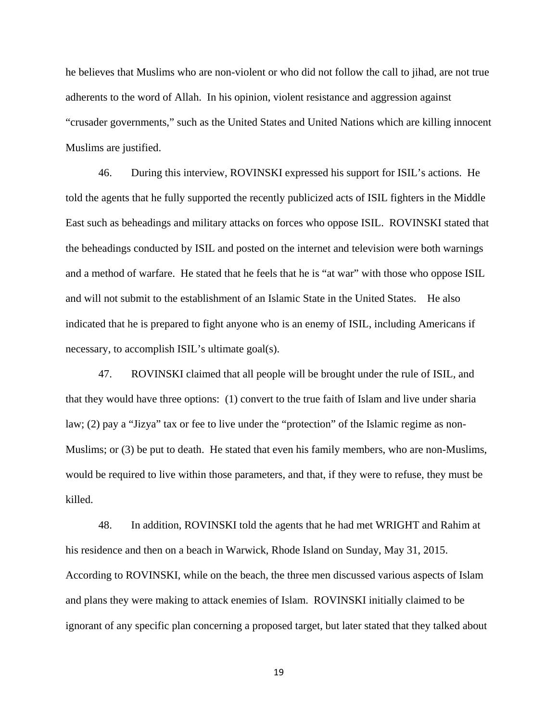he believes that Muslims who are non-violent or who did not follow the call to jihad, are not true adherents to the word of Allah. In his opinion, violent resistance and aggression against "crusader governments," such as the United States and United Nations which are killing innocent Muslims are justified.

46. During this interview, ROVINSKI expressed his support for ISIL's actions. He told the agents that he fully supported the recently publicized acts of ISIL fighters in the Middle East such as beheadings and military attacks on forces who oppose ISIL. ROVINSKI stated that the beheadings conducted by ISIL and posted on the internet and television were both warnings and a method of warfare. He stated that he feels that he is "at war" with those who oppose ISIL and will not submit to the establishment of an Islamic State in the United States. He also indicated that he is prepared to fight anyone who is an enemy of ISIL, including Americans if necessary, to accomplish ISIL's ultimate goal(s).

47. ROVINSKI claimed that all people will be brought under the rule of ISIL, and that they would have three options: (1) convert to the true faith of Islam and live under sharia law; (2) pay a "Jizya" tax or fee to live under the "protection" of the Islamic regime as non-Muslims; or (3) be put to death. He stated that even his family members, who are non-Muslims, would be required to live within those parameters, and that, if they were to refuse, they must be killed.

48. In addition, ROVINSKI told the agents that he had met WRIGHT and Rahim at his residence and then on a beach in Warwick, Rhode Island on Sunday, May 31, 2015. According to ROVINSKI, while on the beach, the three men discussed various aspects of Islam and plans they were making to attack enemies of Islam. ROVINSKI initially claimed to be ignorant of any specific plan concerning a proposed target, but later stated that they talked about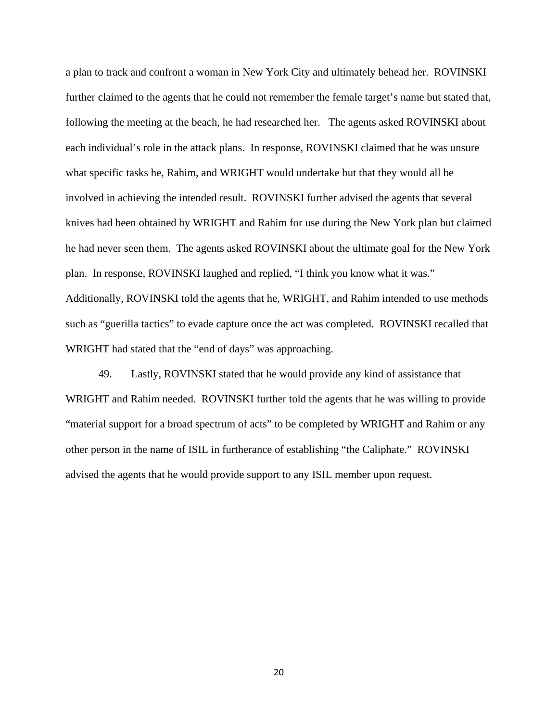a plan to track and confront a woman in New York City and ultimately behead her. ROVINSKI further claimed to the agents that he could not remember the female target's name but stated that, following the meeting at the beach, he had researched her. The agents asked ROVINSKI about each individual's role in the attack plans. In response, ROVINSKI claimed that he was unsure what specific tasks he, Rahim, and WRIGHT would undertake but that they would all be involved in achieving the intended result. ROVINSKI further advised the agents that several knives had been obtained by WRIGHT and Rahim for use during the New York plan but claimed he had never seen them. The agents asked ROVINSKI about the ultimate goal for the New York plan. In response, ROVINSKI laughed and replied, "I think you know what it was." Additionally, ROVINSKI told the agents that he, WRIGHT, and Rahim intended to use methods such as "guerilla tactics" to evade capture once the act was completed. ROVINSKI recalled that WRIGHT had stated that the "end of days" was approaching.

49. Lastly, ROVINSKI stated that he would provide any kind of assistance that WRIGHT and Rahim needed. ROVINSKI further told the agents that he was willing to provide "material support for a broad spectrum of acts" to be completed by WRIGHT and Rahim or any other person in the name of ISIL in furtherance of establishing "the Caliphate." ROVINSKI advised the agents that he would provide support to any ISIL member upon request.